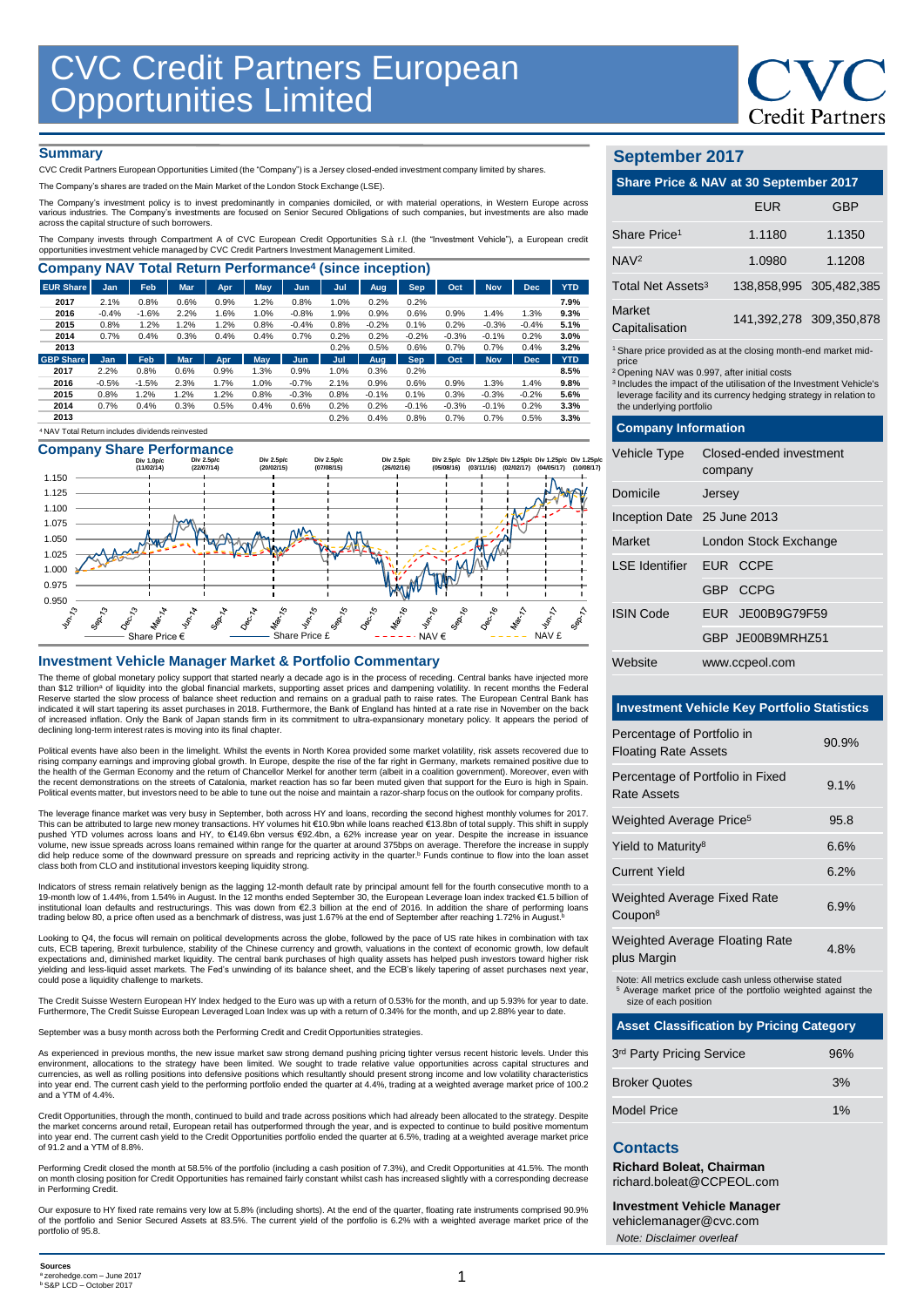

### **Summary**

CVC Credit Partners European Opportunities Limited (the "Company") is a Jersey closed-ended investment company limited by shares.

The Company's shares are traded on the Main Market of the London Stock Exchange (LSE).

The Company's investment policy is to invest predominantly in companies domiciled, or with material operations, in Western Europe across various industries. The Company's investments are focused on Senior Secured Obligations of such companies, but investments are also made across the capital structure of such borrowers.

The Company invests through Compartment A of CVC European Credit Opportunities S.à r.l. (the "Investment Vehicle"), a European credit opportunities investment vehicle managed by CVC Credit Partners Investment Management Limited.

| <b>Company NAV Total Return Performance<sup>4</sup> (since inception)</b> |            |         |            |      |      |            |      |         |            |         |            |            |            |
|---------------------------------------------------------------------------|------------|---------|------------|------|------|------------|------|---------|------------|---------|------------|------------|------------|
| <b>EUR Share</b>                                                          | Jan        | Feb     | <b>Mar</b> | Apr  | May  | Jun        | Jul  | Aug.    | <b>Sep</b> | Oct     | <b>Nov</b> | <b>Dec</b> | <b>YTD</b> |
| 2017                                                                      | 2.1%       | 0.8%    | 0.6%       | 0.9% | 1.2% | 0.8%       | 1.0% | 0.2%    | 0.2%       |         |            |            | 7.9%       |
| 2016                                                                      | $-0.4%$    | $-1.6%$ | 2.2%       | 1.6% | 1.0% | $-0.8%$    | 1.9% | 0.9%    | 0.6%       | 0.9%    | 1.4%       | 1.3%       | 9.3%       |
| 2015                                                                      | 0.8%       | 1.2%    | 1.2%       | 1.2% | 0.8% | $-0.4%$    | 0.8% | $-0.2%$ | 0.1%       | 0.2%    | $-0.3%$    | $-0.4%$    | 5.1%       |
| 2014                                                                      | 0.7%       | 0.4%    | 0.3%       | 0.4% | 0.4% | 0.7%       | 0.2% | 0.2%    | $-0.2%$    | $-0.3%$ | $-0.1%$    | 0.2%       | 3.0%       |
| 2013                                                                      |            |         |            |      |      |            | 0.2% | 0.5%    | 0.6%       | 0.7%    | 0.7%       | 0.4%       | 3.2%       |
| <b>GBP Share</b>                                                          | <b>Jan</b> | Feb     | <b>Mar</b> | Apr  | May  | <b>Jun</b> | Jul  | Aug     | <b>Sep</b> | Oct     | <b>Nov</b> | <b>Dec</b> | <b>YTD</b> |
| 2017                                                                      | 2.2%       | 0.8%    | 0.6%       | 0.9% | 1.3% | 0.9%       | 1.0% | 0.3%    | 0.2%       |         |            |            | 8.5%       |
| 2016                                                                      | $-0.5%$    | $-1.5%$ | 2.3%       | 1.7% | 1.0% | $-0.7%$    | 2.1% | 0.9%    | 0.6%       | 0.9%    | 1.3%       | 1.4%       | 9.8%       |
| 2015                                                                      | 0.8%       | 1.2%    | 1.2%       | 1.2% | 0.8% | $-0.3%$    | 0.8% | $-0.1%$ | 0.1%       | 0.3%    | $-0.3%$    | $-0.2%$    | 5.6%       |
| 2014                                                                      | 0.7%       | 0.4%    | 0.3%       | 0.5% | 0.4% | 0.6%       | 0.2% | 0.2%    | $-0.1%$    | $-0.3%$ | $-0.1%$    | 0.2%       | 3.3%       |
| 2013                                                                      |            |         |            |      |      |            | 0.2% | 0.4%    | 0.8%       | 0.7%    | 0.7%       | 0.5%       | 3.3%       |
| <sup>4</sup> NAV Total Return includes dividends reinvested               |            |         |            |      |      |            |      |         |            |         |            |            |            |

# **Company Share Performance**



### **Investment Vehicle Manager Market & Portfolio Commentary**

The theme of global monetary policy support that started nearly a decade ago is in the process of receding. Central banks have injected more<br>than \$12 trillionª of liquidity into the global financial markets, supporting as Reserve started the slow process of balance sheet reduction and remains on a gradual path to raise rates. The European Central Bank has<br>indicated it will start tapering its asset purchases in 2018. Furthermore, the Bank of declining long-term interest rates is moving into its final chapter.

Political events have also been in the limelight. Whilst the events in North Korea provided some market volatility, risk assets recovered due to rising company earnings and improving global growth. In Europe, despite the rise of the far right in Germany, markets remained positive due to<br>the health of the German Economy and the return of Chancellor Merkel for anothe the recent demonstrations on the streets of Catalonia, market reaction has so far been muted given that support for the Euro is high in Spain. Political events matter, but investors need to be able to tune out the noise and maintain a razor-sharp focus on the outlook for company profits.

The leverage finance market was very busy in September, both across HY and loans, recording the second highest monthly volumes for 2017. This can be attributed to large new money transactions. HY volumes hit €10.9bn while loans reached €13.8bn of total supply. This shift in supply pushed YTD volumes across loans and HY, to €149.6bn versus €92.4bn, a 62% increase year on year. Despite the increase in issuance<br>volume, new issue spreads across loans remained within range for the quarter at around 375b did help reduce some of the downward pressure on spreads and repricing activity in the quarter. <sup>b</sup> Funds continue to flow into the loan asset class both from CLO and institutional investors keeping liquidity strong.

Indicators of stress remain relatively benign as the lagging 12-month default rate by principal amount fell for the fourth consecutive month to a<br>19-month low of 1.44%, from 1.54% in August. In the 12 months ended Septemb trading below 80, a price often used as a benchmark of distress, was just 1.67% at the end of September after reaching 1.72% in August.<sup>b</sup>

Looking to Q4, the focus will remain on political developments across the globe, followed by the pace of US rate hikes in combination with tax cuts, ECB tapering, Brexit turbulence, stability of the Chinese currency and growth, valuations in the context of economic growth, low default<br>expectations and, diminished market liquidity. The central bank purchases of hi

The Credit Suisse Western European HY Index hedged to the Euro was up with a return of 0.53% for the month, and up 5.93% for year to date.<br>Furthermore, The Credit Suisse European Leveraged Loan Index was up with a return o

September was a busy month across both the Performing Credit and Credit Opportunities strategies.

As experienced in previous months, the new issue market saw strong demand pushing pricing tighter versus recent historic levels. Under this environment, allocations to the strategy have been limited. We sought to trade relative value opportunities across capital structures and currencies, as well as rolling positions into defensive positions which resultantly should present strong income and low volatility characteristics<br>into year end. The current cash yield to the performing portfolio ended th and a YTM of 4.4%.

Credit Opportunities, through the month, continued to build and trade across positions which had already been allocated to the strategy. Despite the market concerns around retail, European retail has outperformed through the year, and is expected to continue to build positive momentum<br>into year end. The current cash yield to the Credit Opportunities portfolio ended of 91.2 and a YTM of 8.8%.

Performing Credit closed the month at 58.5% of the portfolio (including a cash position of 7.3%), and Credit Opportunities at 41.5%. The month on month closing position for Credit Opportunities has remained fairly constant whilst cash has increased slightly with a corresponding decrease in Performing Credit.

Our exposure to HY fixed rate remains very low at 5.8% (including shorts). At the end of the quarter, floating rate instruments comprised 90.9%<br>of the portfolio and Senior Secured Assets at 83.5%. The current yield of the portfolio of 95.8.

# **September 2017**

| Share Price & NAV at 30 September 2017                            |            |                         |  |  |  |  |
|-------------------------------------------------------------------|------------|-------------------------|--|--|--|--|
|                                                                   | <b>EUR</b> | GBP                     |  |  |  |  |
| Share Price <sup>1</sup>                                          | 1.1180     | 1.1350                  |  |  |  |  |
| NAV <sub>2</sub>                                                  | 1.0980     | 1.1208                  |  |  |  |  |
| Total Net Assets <sup>3</sup>                                     |            | 138,858,995 305,482,385 |  |  |  |  |
| Market<br>Capitalisation                                          |            | 141,392,278 309,350,878 |  |  |  |  |
| 1 Chase price provided as at the electron meable and medical mid- |            |                         |  |  |  |  |

1 Share price provided as at the closing month-end market mid-price <sup>2</sup>Opening NAV was 0.997, after initial costs

<sup>3</sup>Includes the impact of the utilisation of the Investment Vehicle's leverage facility and its currency hedging strategy in relation to the underlying portfolio

### **Company Information**

| Vehicle Type                | Closed-ended investment<br>company |  |  |  |  |
|-----------------------------|------------------------------------|--|--|--|--|
| Domicile                    | Jersey                             |  |  |  |  |
| Inception Date 25 June 2013 |                                    |  |  |  |  |
| Market                      | London Stock Exchange              |  |  |  |  |
| LSE Identifier EUR CCPE     |                                    |  |  |  |  |
|                             | GBP CCPG                           |  |  |  |  |
| <b>ISIN Code</b>            | EUR JE00B9G79F59                   |  |  |  |  |
|                             | GBP JE00B9MRHZ51                   |  |  |  |  |
| Website                     | www.ccpeol.com                     |  |  |  |  |

### **Investment Vehicle Key Portfolio Statistics**

| Percentage of Portfolio in<br><b>Floating Rate Assets</b> | 90.9% |
|-----------------------------------------------------------|-------|
| Percentage of Portfolio in Fixed<br>Rate Assets           | 9.1%  |
| Weighted Average Price <sup>5</sup>                       | 95.8  |
| Yield to Maturity <sup>8</sup>                            | 6.6%  |
| <b>Current Yield</b>                                      | 6.2%  |
| <b>Weighted Average Fixed Rate</b><br>Coupon <sup>8</sup> | 6.9%  |
| <b>Weighted Average Floating Rate</b><br>plus Margin      | 4.8%  |
|                                                           |       |

ote: All metrics exclude cash unless otherwise stated <sup>5</sup> Average market price of the portfolio weighted against the size of each position

| <b>Asset Classification by Pricing Category</b> |    |  |  |  |  |
|-------------------------------------------------|----|--|--|--|--|
| 3rd Party Pricing Service<br>96%                |    |  |  |  |  |
| <b>Broker Quotes</b><br>3%                      |    |  |  |  |  |
| Model Price                                     | 1% |  |  |  |  |

## **Contacts**

**Richard Boleat, Chairman**  richard.boleat@CCPEOL.com

**Investment Vehicle Manager**

vehiclemanager@cvc.com *Note: Disclaimer overleaf*